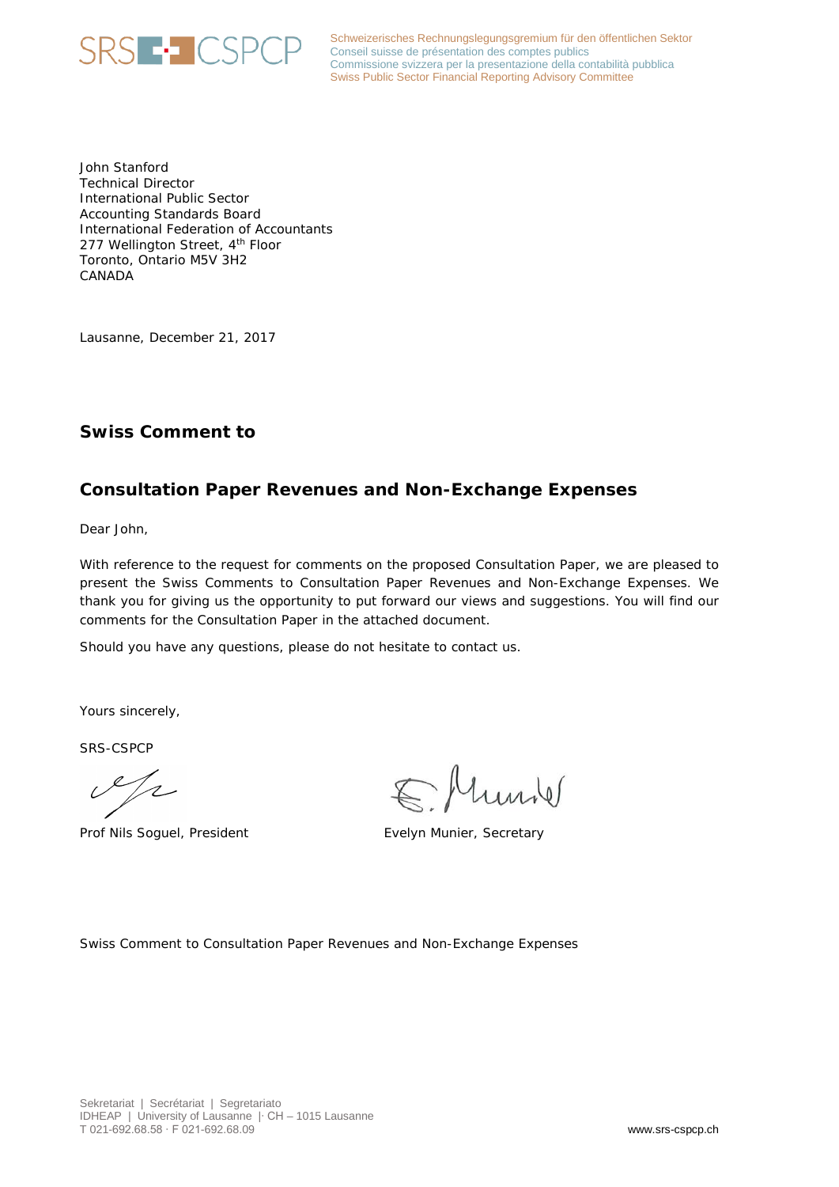

Schweizerisches Rechnungslegungsgremium für den öffentlichen Sektor Schweizerisches Rechnungslegungsgremium für de<br>Conseil suisse de présentation des comptes publics Commissione svizzera per la presentazione della contabilità pubblica Swiss Public Sector Financial Reporting Advisory Committee

John Stanford Technical Director International Public Sector Accounting Standards Board International Federation of Accountants 277 Wellington Street, 4<sup>th</sup> Floor Toronto, Ontario M5V 3H2 CANADA

Lausanne, December 21, 2017

# **Swiss Comment to**

# **Consultation Paper Revenues and Non-Exchange Expenses**

Dear John,

With reference to the request for comments on the proposed Consultation Paper, we are pleased to present the Swiss Comments to Consultation Paper Revenues and Non-Exchange Expenses. We thank you for giving us the opportunity to put forward our views and suggestions. You will find our comments for the Consultation Paper in the attached document.

Should you have any questions, please do not hesitate to contact us.

Yours sincerely,

SRS-CSPCP

 $\mathscr{S}/\mathscr{C}$ 

Prof Nils Soguel, President Evelyn Munier, Secretary

Ellunde

Swiss Comment to Consultation Paper Revenues and Non-Exchange Expenses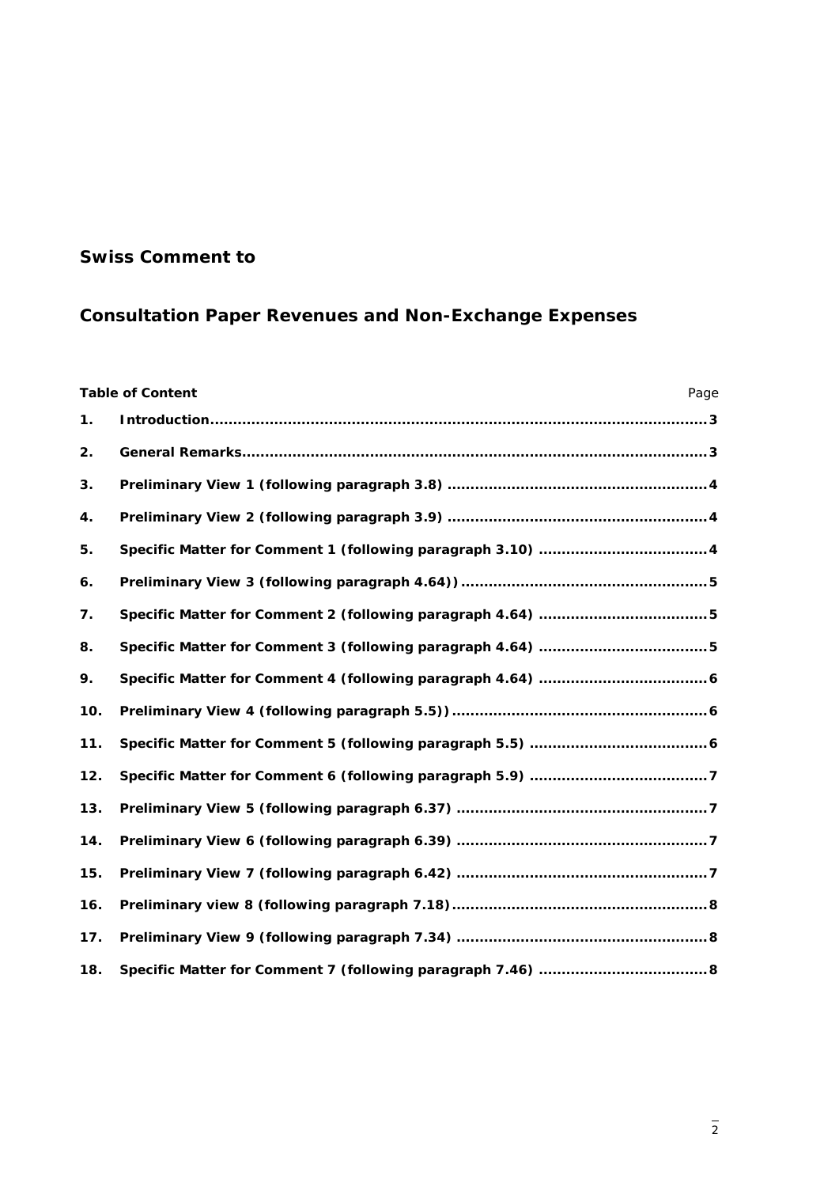# **Swiss Comment to**

# **Consultation Paper Revenues and Non-Exchange Expenses**

| <b>Table of Content</b><br>Page |  |
|---------------------------------|--|
| 1.                              |  |
| 2.                              |  |
| 3.                              |  |
| 4.                              |  |
| 5.                              |  |
| 6.                              |  |
| 7.                              |  |
| 8.                              |  |
| 9.                              |  |
| 10.                             |  |
| 11.                             |  |
| 12.                             |  |
| 13.                             |  |
| 14.                             |  |
| 15.                             |  |
| 16.                             |  |
| 17.                             |  |
| 18.                             |  |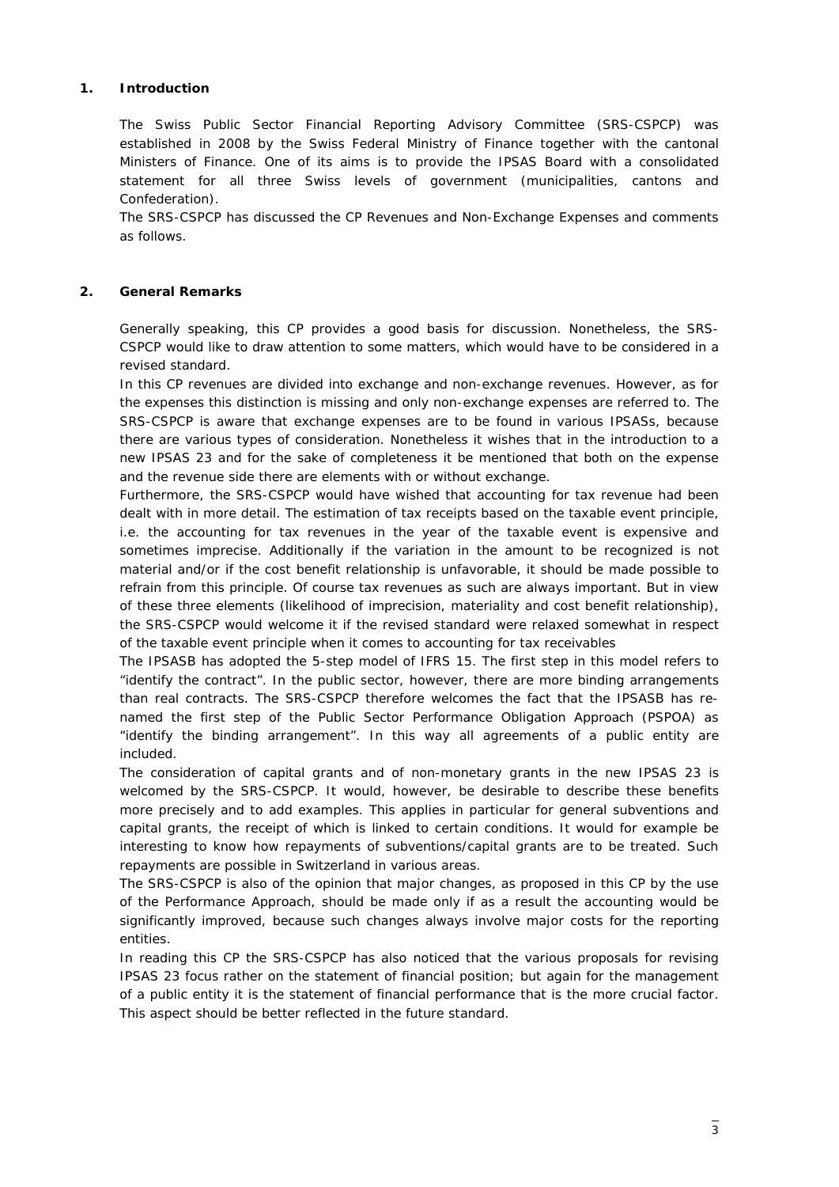## <span id="page-2-0"></span>**1. Introduction**

The Swiss Public Sector Financial Reporting Advisory Committee (SRS-CSPCP) was established in 2008 by the Swiss Federal Ministry of Finance together with the cantonal Ministers of Finance. One of its aims is to provide the IPSAS Board with a consolidated statement for all three Swiss levels of government (municipalities, cantons and Confederation).

The SRS-CSPCP has discussed the CP Revenues and Non-Exchange Expenses and comments as follows.

# <span id="page-2-1"></span>**2. General Remarks**

Generally speaking, this CP provides a good basis for discussion. Nonetheless, the SRS-CSPCP would like to draw attention to some matters, which would have to be considered in a revised standard.

In this CP revenues are divided into exchange and non-exchange revenues. However, as for the expenses this distinction is missing and only non-exchange expenses are referred to. The SRS-CSPCP is aware that exchange expenses are to be found in various IPSASs, because there are various types of consideration. Nonetheless it wishes that in the introduction to a new IPSAS 23 and for the sake of completeness it be mentioned that both on the expense and the revenue side there are elements with or without exchange.

Furthermore, the SRS-CSPCP would have wished that accounting for tax revenue had been dealt with in more detail. The estimation of tax receipts based on the taxable event principle, i.e. the accounting for tax revenues in the year of the taxable event is expensive and sometimes imprecise. Additionally if the variation in the amount to be recognized is not material and/or if the cost benefit relationship is unfavorable, it should be made possible to refrain from this principle. Of course tax revenues as such are always important. But in view of these three elements (likelihood of imprecision, materiality and cost benefit relationship), the SRS-CSPCP would welcome it if the revised standard were relaxed somewhat in respect of the taxable event principle when it comes to accounting for tax receivables

The IPSASB has adopted the 5-step model of IFRS 15. The first step in this model refers to "identify the contract". In the public sector, however, there are more binding arrangements than real contracts. The SRS-CSPCP therefore welcomes the fact that the IPSASB has renamed the first step of the Public Sector Performance Obligation Approach (PSPOA) as "identify the binding arrangement". In this way all agreements of a public entity are included.

The consideration of capital grants and of non-monetary grants in the new IPSAS 23 is welcomed by the SRS-CSPCP. It would, however, be desirable to describe these benefits more precisely and to add examples. This applies in particular for general subventions and capital grants, the receipt of which is linked to certain conditions. It would for example be interesting to know how repayments of subventions/capital grants are to be treated. Such repayments are possible in Switzerland in various areas.

The SRS-CSPCP is also of the opinion that major changes, as proposed in this CP by the use of the Performance Approach, should be made only if as a result the accounting would be significantly improved, because such changes always involve major costs for the reporting entities.

In reading this CP the SRS-CSPCP has also noticed that the various proposals for revising IPSAS 23 focus rather on the statement of financial position; but again for the management of a public entity it is the statement of financial performance that is the more crucial factor. This aspect should be better reflected in the future standard.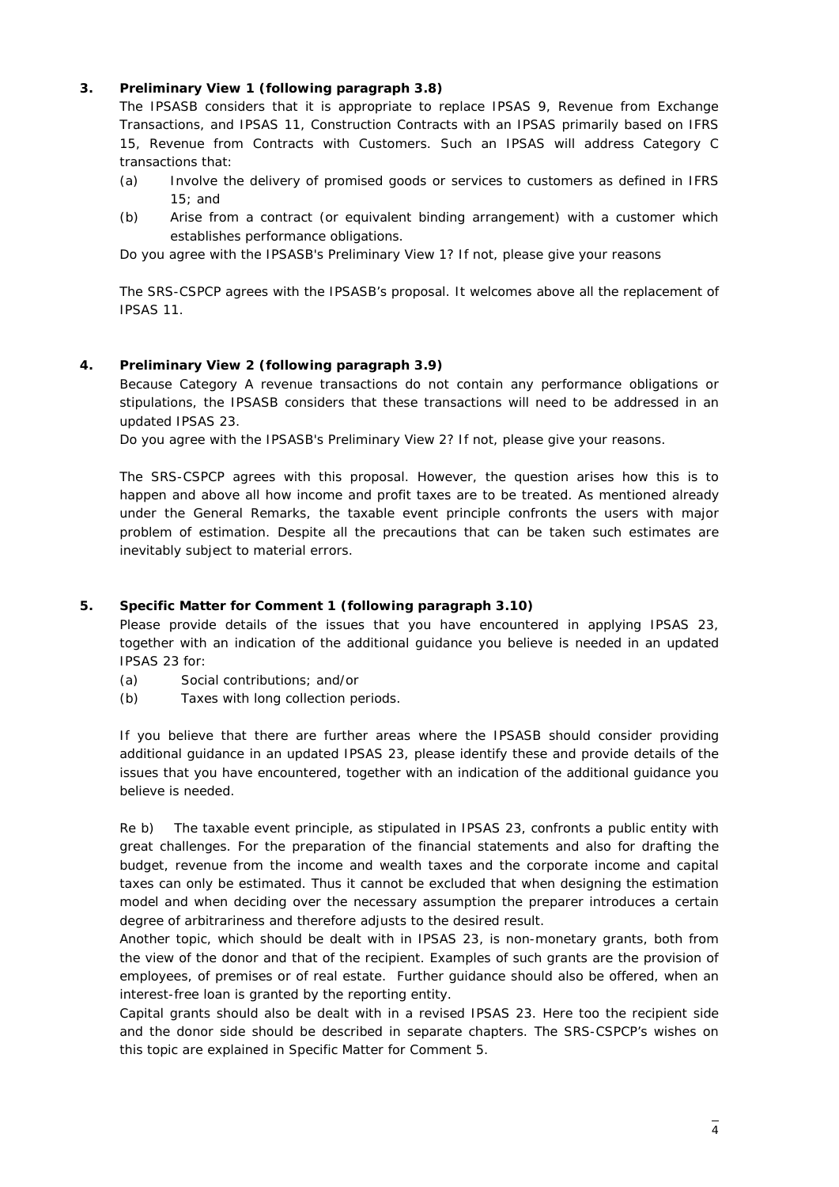# <span id="page-3-0"></span>**3. Preliminary View 1 (following paragraph 3.8)**

*The IPSASB considers that it is appropriate to replace IPSAS 9, Revenue from Exchange Transactions, and IPSAS 11, Construction Contracts with an IPSAS primarily based on IFRS 15, Revenue from Contracts with Customers. Such an IPSAS will address Category C transactions that:*

- *(a) Involve the delivery of promised goods or services to customers as defined in IFRS 15; and*
- *(b) Arise from a contract (or equivalent binding arrangement) with a customer which establishes performance obligations.*

*Do you agree with the IPSASB's Preliminary View 1? If not, please give your reasons*

The SRS-CSPCP agrees with the IPSASB's proposal. It welcomes above all the replacement of IPSAS 11.

# <span id="page-3-1"></span>**4. Preliminary View 2 (following paragraph 3.9)**

*Because Category A revenue transactions do not contain any performance obligations or stipulations, the IPSASB considers that these transactions will need to be addressed in an updated IPSAS 23.*

*Do you agree with the IPSASB's Preliminary View 2? If not, please give your reasons.*

The SRS-CSPCP agrees with this proposal. However, the question arises how this is to happen and above all how income and profit taxes are to be treated. As mentioned already under the General Remarks, the taxable event principle confronts the users with major problem of estimation. Despite all the precautions that can be taken such estimates are inevitably subject to material errors.

# <span id="page-3-2"></span>**5. Specific Matter for Comment 1 (following paragraph 3.10)**

*Please provide details of the issues that you have encountered in applying IPSAS 23,*  together with an indication of the additional guidance you believe is needed in an updated *IPSAS 23 for:*

- *(a) Social contributions; and/or*
- *(b) Taxes with long collection periods.*

*If you believe that there are further areas where the IPSASB should consider providing additional guidance in an updated IPSAS 23, please identify these and provide details of the issues that you have encountered, together with an indication of the additional guidance you believe is needed.*

Re b) The taxable event principle, as stipulated in IPSAS 23, confronts a public entity with great challenges. For the preparation of the financial statements and also for drafting the budget, revenue from the income and wealth taxes and the corporate income and capital taxes can only be estimated. Thus it cannot be excluded that when designing the estimation model and when deciding over the necessary assumption the preparer introduces a certain degree of arbitrariness and therefore adjusts to the desired result.

Another topic, which should be dealt with in IPSAS 23, is non-monetary grants, both from the view of the donor and that of the recipient. Examples of such grants are the provision of employees, of premises or of real estate. Further guidance should also be offered, when an interest-free loan is granted by the reporting entity.

Capital grants should also be dealt with in a revised IPSAS 23. Here too the recipient side and the donor side should be described in separate chapters. The SRS-CSPCP's wishes on this topic are explained in Specific Matter for Comment 5.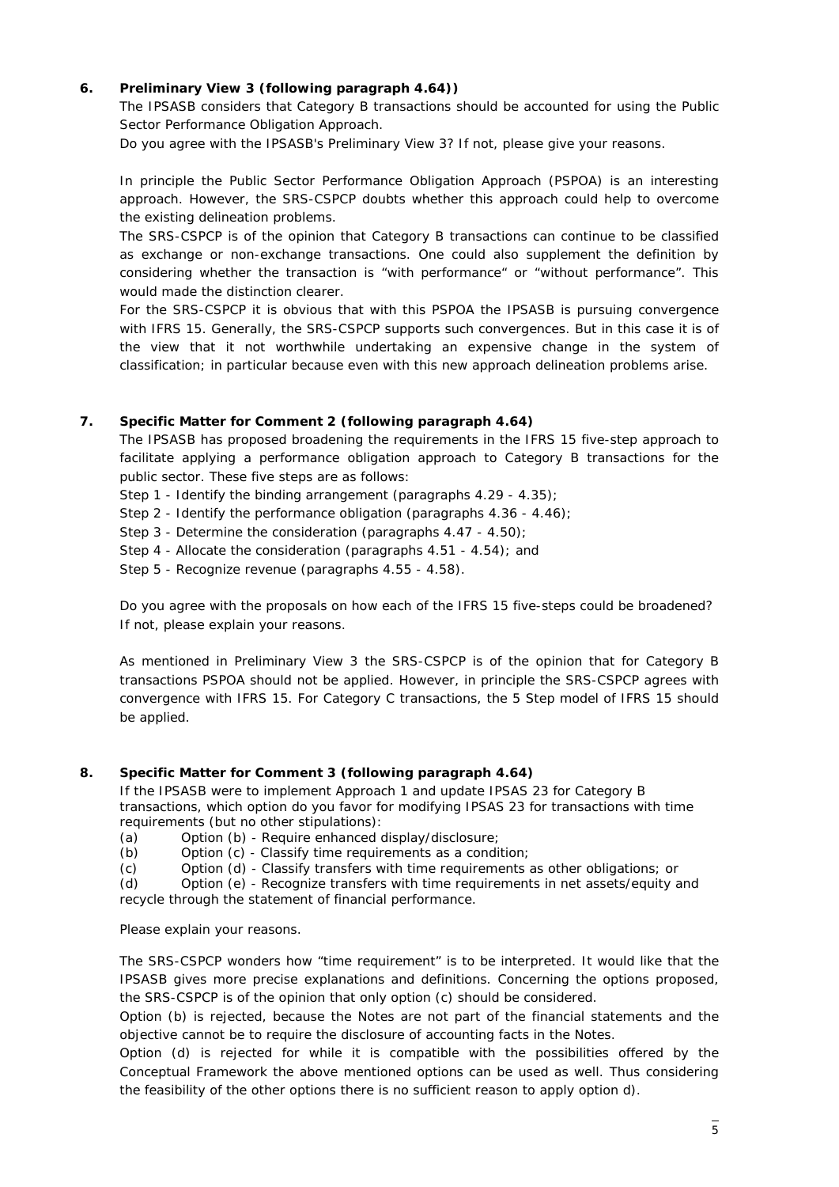#### <span id="page-4-0"></span>**6. Preliminary View 3 (following paragraph 4.64))**

*The IPSASB considers that Category B transactions should be accounted for using the Public Sector Performance Obligation Approach.*

*Do you agree with the IPSASB's Preliminary View 3? If not, please give your reasons.*

In principle the Public Sector Performance Obligation Approach (PSPOA) is an interesting approach. However, the SRS-CSPCP doubts whether this approach could help to overcome the existing delineation problems.

The SRS-CSPCP is of the opinion that Category B transactions can continue to be classified as exchange or non-exchange transactions. One could also supplement the definition by considering whether the transaction is "with performance" or "without performance". This would made the distinction clearer.

For the SRS-CSPCP it is obvious that with this PSPOA the IPSASB is pursuing convergence with IFRS 15. Generally, the SRS-CSPCP supports such convergences. But in this case it is of the view that it not worthwhile undertaking an expensive change in the system of classification; in particular because even with this new approach delineation problems arise.

### <span id="page-4-1"></span>**7. Specific Matter for Comment 2 (following paragraph 4.64)**

*The IPSASB has proposed broadening the requirements in the IFRS 15 five-step approach to*  facilitate applying a performance obligation approach to Category B transactions for the *public sector. These five steps are as follows:*

*Step 1 - Identify the binding arrangement (paragraphs 4.29 - 4.35);* 

*Step 2 - Identify the performance obligation (paragraphs 4.36 - 4.46);* 

*Step 3 - Determine the consideration (paragraphs 4.47 - 4.50);*

*Step 4 - Allocate the consideration (paragraphs 4.51 - 4.54); and* 

*Step 5 - Recognize revenue (paragraphs 4.55 - 4.58).*

*Do you agree with the proposals on how each of the IFRS 15 five-steps could be broadened? If not, please explain your reasons.*

As mentioned in Preliminary View 3 the SRS-CSPCP is of the opinion that for Category B transactions PSPOA should not be applied. However, in principle the SRS-CSPCP agrees with convergence with IFRS 15. For Category C transactions, the 5 Step model of IFRS 15 should be applied.

#### <span id="page-4-2"></span>**8. Specific Matter for Comment 3 (following paragraph 4.64)**

*If the IPSASB were to implement Approach 1 and update IPSAS 23 for Category B transactions, which option do you favor for modifying IPSAS 23 for transactions with time requirements (but no other stipulations):*

*(a) Option (b) - Require enhanced display/disclosure;*

*(b) Option (c) - Classify time requirements as a condition;*

*(c) Option (d) - Classify transfers with time requirements as other obligations; or*

*(d) Option (e) - Recognize transfers with time requirements in net assets/equity and recycle through the statement of financial performance.*

#### *Please explain your reasons.*

The SRS-CSPCP wonders how "time requirement" is to be interpreted. It would like that the IPSASB gives more precise explanations and definitions. Concerning the options proposed, the SRS-CSPCP is of the opinion that only option (c) should be considered.

Option (b) is rejected, because the Notes are not part of the financial statements and the objective cannot be to require the disclosure of accounting facts in the Notes.

Option (d) is rejected for while it is compatible with the possibilities offered by the Conceptual Framework the above mentioned options can be used as well. Thus considering the feasibility of the other options there is no sufficient reason to apply option d).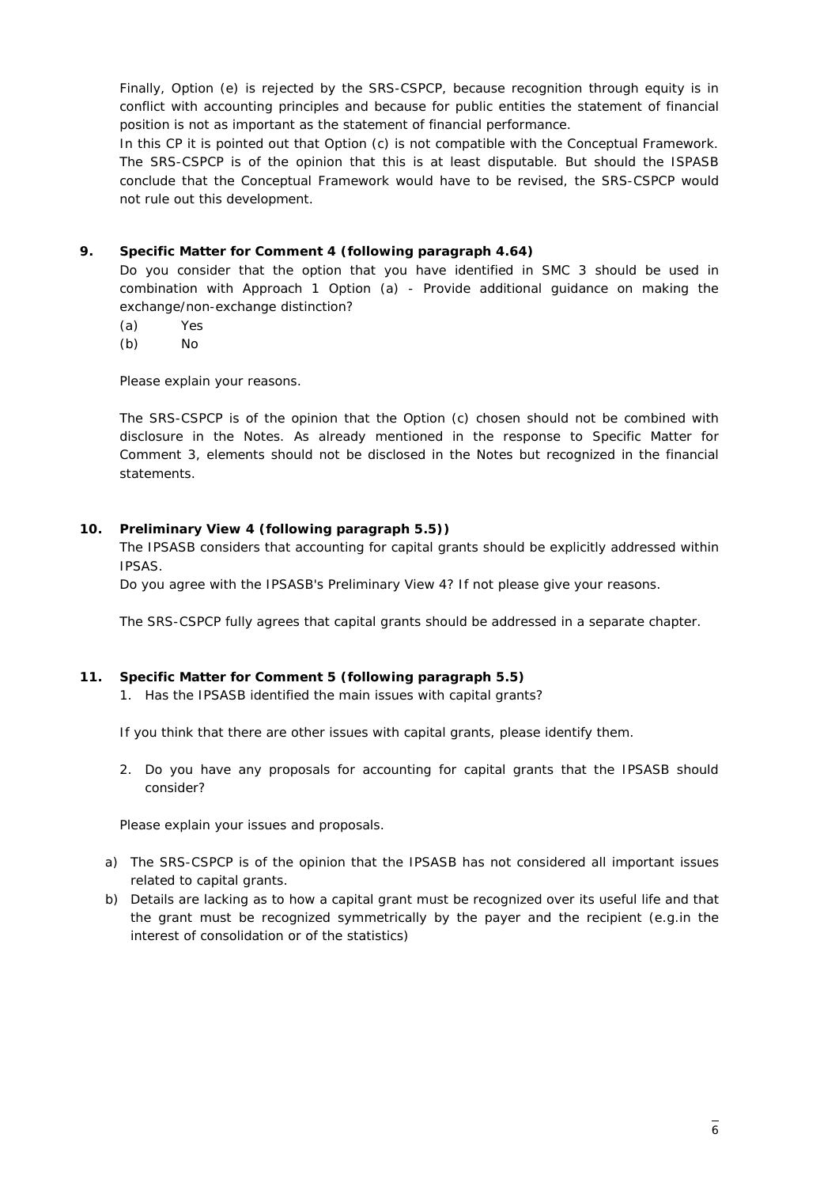Finally, Option (e) is rejected by the SRS-CSPCP, because recognition through equity is in conflict with accounting principles and because for public entities the statement of financial position is not as important as the statement of financial performance.

In this CP it is pointed out that Option (c) is not compatible with the Conceptual Framework. The SRS-CSPCP is of the opinion that this is at least disputable. But should the ISPASB conclude that the Conceptual Framework would have to be revised, the SRS-CSPCP would not rule out this development.

# <span id="page-5-0"></span>**9. Specific Matter for Comment 4 (following paragraph 4.64)**

*Do you consider that the option that you have identified in SMC 3 should be used in combination with Approach 1 Option (a) - Provide additional guidance on making the exchange/non-exchange distinction?*

- *(a) Yes*
- *(b) No*

*Please explain your reasons.*

The SRS-CSPCP is of the opinion that the Option (c) chosen should not be combined with disclosure in the Notes. As already mentioned in the response to Specific Matter for Comment 3, elements should not be disclosed in the Notes but recognized in the financial statements.

# <span id="page-5-1"></span>**10. Preliminary View 4 (following paragraph 5.5))**

*The IPSASB considers that accounting for capital grants should be explicitly addressed within IPSAS.* 

*Do you agree with the IPSASB's Preliminary View 4? If not please give your reasons.*

The SRS-CSPCP fully agrees that capital grants should be addressed in a separate chapter.

# <span id="page-5-2"></span>**11. Specific Matter for Comment 5 (following paragraph 5.5)**

*1. Has the IPSASB identified the main issues with capital grants?*

*If you think that there are other issues with capital grants, please identify them.*

*2. Do you have any proposals for accounting for capital grants that the IPSASB should consider?* 

*Please explain your issues and proposals.*

- a) The SRS-CSPCP is of the opinion that the IPSASB has not considered all important issues related to capital grants.
- b) Details are lacking as to how a capital grant must be recognized over its useful life and that the grant must be recognized symmetrically by the payer and the recipient (e.g.in the interest of consolidation or of the statistics)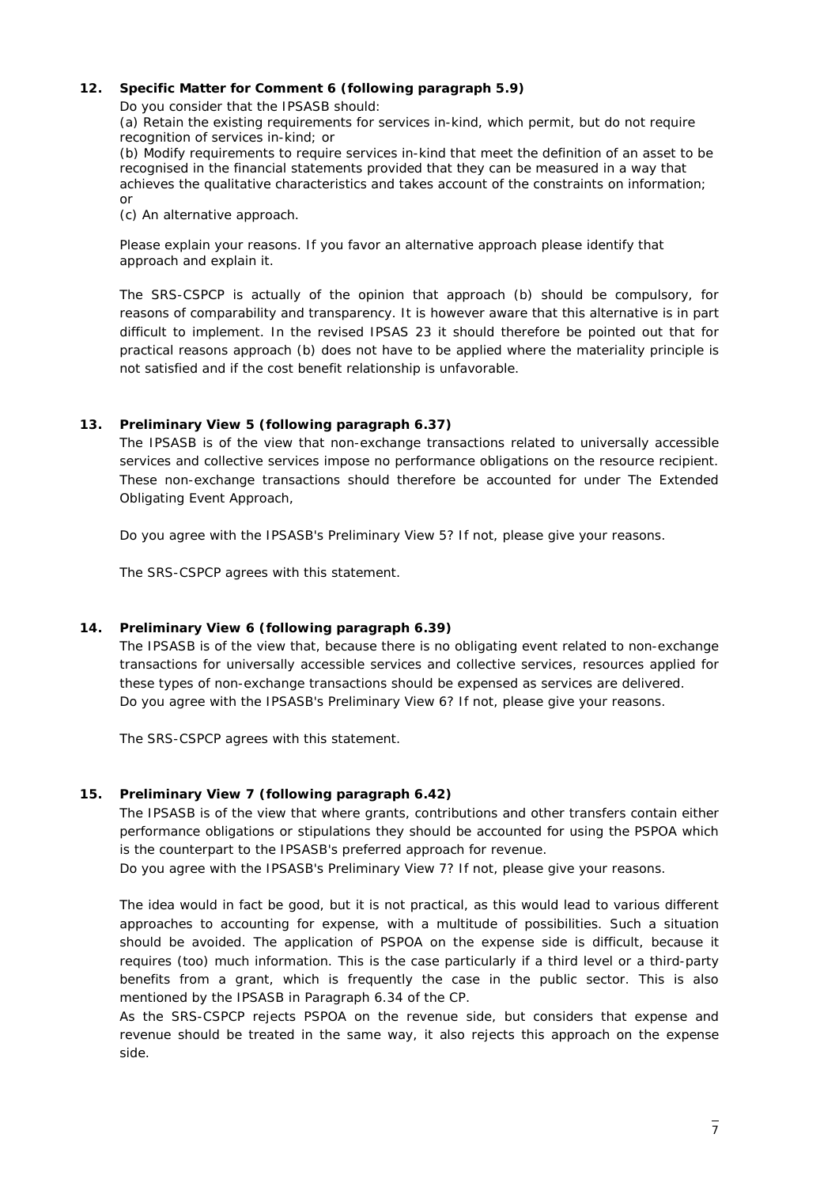#### <span id="page-6-0"></span>**12. Specific Matter for Comment 6 (following paragraph 5.9)**

*Do you consider that the IPSASB should:*

*(a) Retain the existing requirements for services in-kind, which permit, but do not require recognition of services in-kind; or*

*(b) Modify requirements to require services in-kind that meet the definition of an asset to be recognised in the financial statements provided that they can be measured in a way that achieves the qualitative characteristics and takes account of the constraints on information; or*

*(c) An alternative approach.*

*Please explain your reasons. If you favor an alternative approach please identify that approach and explain it.*

The SRS-CSPCP is actually of the opinion that approach (b) should be compulsory, for reasons of comparability and transparency. It is however aware that this alternative is in part difficult to implement. In the revised IPSAS 23 it should therefore be pointed out that for practical reasons approach (b) does not have to be applied where the materiality principle is not satisfied and if the cost benefit relationship is unfavorable.

# <span id="page-6-1"></span>**13. Preliminary View 5 (following paragraph 6.37)**

*The IPSASB is of the view that non-exchange transactions related to universally accessible services and collective services impose no performance obligations on the resource recipient. These non-exchange transactions should therefore be accounted for under The Extended Obligating Event Approach,*

*Do you agree with the IPSASB's Preliminary View 5? If not, please give your reasons.*

The SRS-CSPCP agrees with this statement.

# <span id="page-6-2"></span>**14. Preliminary View 6 (following paragraph 6.39)**

*The IPSASB is of the view that, because there is no obligating event related to non-exchange transactions for universally accessible services and collective services, resources applied for these types of non-exchange transactions should be expensed as services are delivered. Do you agree with the IPSASB's Preliminary View 6? If not, please give your reasons.*

The SRS-CSPCP agrees with this statement.

# <span id="page-6-3"></span>**15. Preliminary View 7 (following paragraph 6.42)**

*The IPSASB is of the view that where grants, contributions and other transfers contain either performance obligations or stipulations they should be accounted for using the PSPOA which is the counterpart to the IPSASB's preferred approach for revenue. Do you agree with the IPSASB's Preliminary View 7? If not, please give your reasons.*

The idea would in fact be good, but it is not practical, as this would lead to various different approaches to accounting for expense, with a multitude of possibilities. Such a situation should be avoided. The application of PSPOA on the expense side is difficult, because it requires (too) much information. This is the case particularly if a third level or a third-party benefits from a grant, which is frequently the case in the public sector. This is also mentioned by the IPSASB in Paragraph 6.34 of the CP.

As the SRS-CSPCP rejects PSPOA on the revenue side, but considers that expense and revenue should be treated in the same way, it also rejects this approach on the expense side.